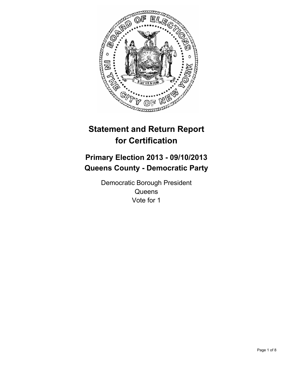

# **Statement and Return Report for Certification**

# **Primary Election 2013 - 09/10/2013 Queens County - Democratic Party**

Democratic Borough President **Queens** Vote for 1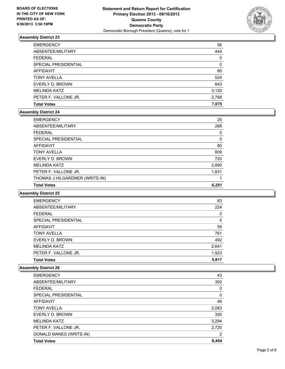

| <b>Total Votes</b>   | 7,075    |
|----------------------|----------|
| PETER F. VALLONE JR. | 2,788    |
| <b>MELINDA KATZ</b>  | 3,120    |
| EVERLY D. BROWN      | 643      |
| <b>TONY AVELLA</b>   | 524      |
| AFFIDAVIT            | 95       |
| SPECIAL PRESIDENTIAL | $\Omega$ |
| <b>FEDERAL</b>       | 0        |
| ABSENTEE/MILITARY    | 444      |
| <b>EMERGENCY</b>     | 56       |

#### **Assembly District 24**

| <b>EMERGENCY</b>               | 25    |
|--------------------------------|-------|
| ABSENTEE/MILITARY              | 266   |
| <b>FEDERAL</b>                 | 0     |
| SPECIAL PRESIDENTIAL           | 0     |
| <b>AFFIDAVIT</b>               | 80    |
| <b>TONY AVELLA</b>             | 809   |
| EVERLY D. BROWN                | 720   |
| <b>MELINDA KATZ</b>            | 2,890 |
| PETER F. VALLONE JR.           | 1,831 |
| THOMAS J HILGARDNER (WRITE-IN) |       |
| <b>Total Votes</b>             | 6,251 |

#### **Assembly District 25**

| <b>EMERGENCY</b>     | 83    |
|----------------------|-------|
| ABSENTEE/MILITARY    | 224   |
| <b>FEDERAL</b>       | 0     |
| SPECIAL PRESIDENTIAL | 0     |
| AFFIDAVIT            | 59    |
| <b>TONY AVELLA</b>   | 761   |
| EVERLY D. BROWN      | 492   |
| <b>MELINDA KATZ</b>  | 2,641 |
| PETER F. VALLONE JR. | 1,923 |
| <b>Total Votes</b>   | 5.817 |

| <b>EMERGENCY</b>        | 43    |
|-------------------------|-------|
| ABSENTEE/MILITARY       | 392   |
| <b>FEDERAL</b>          | 0     |
| SPECIAL PRESIDENTIAL    | 0     |
| <b>AFFIDAVIT</b>        | 46    |
| <b>TONY AVELLA</b>      | 2,083 |
| EVERLY D. BROWN         | 355   |
| <b>MELINDA KATZ</b>     | 3,294 |
| PETER F. VALLONE JR.    | 2,720 |
| DONALD MANES (WRITE-IN) | 2     |
| <b>Total Votes</b>      | 8,454 |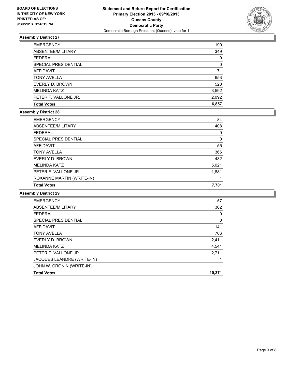

| <b>EMERGENCY</b>     | 190      |
|----------------------|----------|
| ABSENTEE/MILITARY    | 349      |
| <b>FEDERAL</b>       | $\Omega$ |
| SPECIAL PRESIDENTIAL | $\Omega$ |
| AFFIDAVIT            | 71       |
| <b>TONY AVELLA</b>   | 653      |
| EVERLY D. BROWN      | 520      |
| <b>MELINDA KATZ</b>  | 3,592    |
| PETER F. VALLONE JR. | 2,092    |
| <b>Total Votes</b>   | 6,857    |

#### **Assembly District 28**

| <b>EMERGENCY</b>          | 84    |
|---------------------------|-------|
| ABSENTEE/MILITARY         | 408   |
| <b>FEDERAL</b>            | 0     |
| SPECIAL PRESIDENTIAL      | 0     |
| <b>AFFIDAVIT</b>          | 55    |
| <b>TONY AVELLA</b>        | 366   |
| EVERLY D. BROWN           | 432   |
| <b>MELINDA KATZ</b>       | 5,021 |
| PETER F. VALLONE JR.      | 1,881 |
| ROXANNE MARTIN (WRITE-IN) |       |
| <b>Total Votes</b>        | 7,701 |

| <b>EMERGENCY</b>           | 57     |
|----------------------------|--------|
| ABSENTEE/MILITARY          | 362    |
| <b>FEDERAL</b>             | 0      |
| SPECIAL PRESIDENTIAL       | 0      |
| <b>AFFIDAVIT</b>           | 141    |
| <b>TONY AVELLA</b>         | 706    |
| EVERLY D. BROWN            | 2,411  |
| <b>MELINDA KATZ</b>        | 4,541  |
| PETER F. VALLONE JR.       | 2,711  |
| JACQUES LEANDRE (WRITE-IN) |        |
| JOHN W. CRONIN (WRITE-IN)  |        |
| <b>Total Votes</b>         | 10,371 |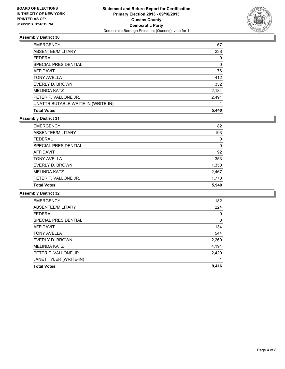

| <b>EMERGENCY</b>                   | 67    |
|------------------------------------|-------|
| ABSENTEE/MILITARY                  | 238   |
| <b>FEDERAL</b>                     | 0     |
| SPECIAL PRESIDENTIAL               | 0     |
| AFFIDAVIT                          | 76    |
| <b>TONY AVELLA</b>                 | 412   |
| EVERLY D. BROWN                    | 352   |
| <b>MELINDA KATZ</b>                | 2,184 |
| PETER F. VALLONE JR.               | 2,491 |
| UNATTRIBUTABLE WRITE-IN (WRITE-IN) |       |
| <b>Total Votes</b>                 | 5,440 |

#### **Assembly District 31**

| <b>EMERGENCY</b>            | 82       |
|-----------------------------|----------|
| ABSENTEE/MILITARY           | 193      |
| <b>FEDERAL</b>              | $\Omega$ |
| <b>SPECIAL PRESIDENTIAL</b> | $\Omega$ |
| <b>AFFIDAVIT</b>            | 92       |
| <b>TONY AVELLA</b>          | 353      |
| EVERLY D. BROWN             | 1,350    |
| <b>MELINDA KATZ</b>         | 2,467    |
| PETER F. VALLONE JR.        | 1,770    |
| <b>Total Votes</b>          | 5.940    |

| <b>EMERGENCY</b>       | 182      |
|------------------------|----------|
| ABSENTEE/MILITARY      | 224      |
| <b>FEDERAL</b>         | 0        |
| SPECIAL PRESIDENTIAL   | $\Omega$ |
| <b>AFFIDAVIT</b>       | 134      |
| <b>TONY AVELLA</b>     | 544      |
| EVERLY D. BROWN        | 2,260    |
| <b>MELINDA KATZ</b>    | 4,191    |
| PETER F. VALLONE JR.   | 2,420    |
| JANET TYLER (WRITE-IN) | 1        |
| <b>Total Votes</b>     | 9,416    |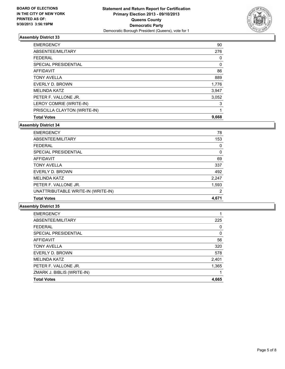

| AFFIDAVIT<br><b>TONY AVELLA</b> | 86<br>889 |
|---------------------------------|-----------|
| EVERLY D. BROWN                 | 1,776     |
| <b>MELINDA KATZ</b>             | 3,947     |
| PETER F. VALLONE JR.            | 3,052     |
| LEROY COMRIE (WRITE-IN)         | 3         |
| PRISCILLA CLAYTON (WRITE-IN)    | 1         |
| <b>Total Votes</b>              | 9,668     |

**Assembly District 34**

| <b>EMERGENCY</b>                   | 78             |
|------------------------------------|----------------|
| ABSENTEE/MILITARY                  | 153            |
| <b>FEDERAL</b>                     | 0              |
| SPECIAL PRESIDENTIAL               | 0              |
| <b>AFFIDAVIT</b>                   | 69             |
| <b>TONY AVELLA</b>                 | 337            |
| EVERLY D. BROWN                    | 492            |
| <b>MELINDA KATZ</b>                | 2,247          |
| PETER F. VALLONE JR.               | 1,593          |
| UNATTRIBUTABLE WRITE-IN (WRITE-IN) | $\overline{2}$ |
| <b>Total Votes</b>                 | 4.671          |

| 225   |
|-------|
| 0     |
| 0     |
| 56    |
| 320   |
| 578   |
| 2,401 |
| 1,365 |
|       |
| 4,665 |
|       |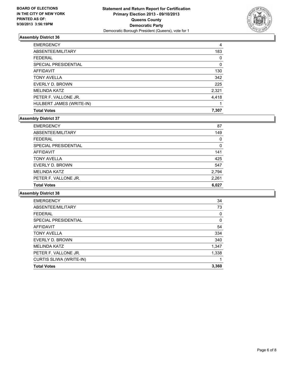

| <b>EMERGENCY</b>         | 4     |
|--------------------------|-------|
| ABSENTEE/MILITARY        | 183   |
| <b>FEDERAL</b>           | 0     |
| SPECIAL PRESIDENTIAL     | 0     |
| AFFIDAVIT                | 130   |
| <b>TONY AVELLA</b>       | 342   |
| EVERLY D. BROWN          | 225   |
| <b>MELINDA KATZ</b>      | 2,321 |
| PETER F. VALLONE JR.     | 4,418 |
| HULBERT JAMES (WRITE-IN) |       |
| <b>Total Votes</b>       | 7,307 |

#### **Assembly District 37**

| <b>Total Votes</b>          | 6.027 |
|-----------------------------|-------|
| PETER F. VALLONE JR.        | 2,261 |
| <b>MELINDA KATZ</b>         | 2,794 |
| EVERLY D. BROWN             | 547   |
| <b>TONY AVELLA</b>          | 425   |
| <b>AFFIDAVIT</b>            | 141   |
| <b>SPECIAL PRESIDENTIAL</b> | 0     |
| <b>FEDERAL</b>              | 0     |
| ABSENTEE/MILITARY           | 149   |
| <b>EMERGENCY</b>            | 87    |

| <b>EMERGENCY</b>               | 34       |
|--------------------------------|----------|
| ABSENTEE/MILITARY              | 73       |
| <b>FEDERAL</b>                 | 0        |
| SPECIAL PRESIDENTIAL           | $\Omega$ |
| AFFIDAVIT                      | 54       |
| <b>TONY AVELLA</b>             | 334      |
| EVERLY D. BROWN                | 340      |
| <b>MELINDA KATZ</b>            | 1,347    |
| PETER F. VALLONE JR.           | 1,338    |
| <b>CURTIS SLIWA (WRITE-IN)</b> |          |
| <b>Total Votes</b>             | 3,360    |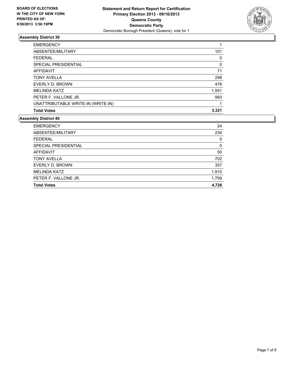

| <b>EMERGENCY</b>                   |          |
|------------------------------------|----------|
| ABSENTEE/MILITARY                  | 101      |
| <b>FEDERAL</b>                     | 0        |
| SPECIAL PRESIDENTIAL               | $\Omega$ |
| AFFIDAVIT                          | 71       |
| <b>TONY AVELLA</b>                 | 298      |
| EVERLY D. BROWN                    | 478      |
| <b>MELINDA KATZ</b>                | 1,551    |
| PETER F. VALLONE JR.               | 993      |
| UNATTRIBUTABLE WRITE-IN (WRITE-IN) |          |
| <b>Total Votes</b>                 | 3,321    |

| <b>EMERGENCY</b>     | 24    |
|----------------------|-------|
| ABSENTEE/MILITARY    | 234   |
| <b>FEDERAL</b>       | 0     |
| SPECIAL PRESIDENTIAL | 0     |
| <b>AFFIDAVIT</b>     | 50    |
| <b>TONY AVELLA</b>   | 702   |
| EVERLY D. BROWN      | 357   |
| <b>MELINDA KATZ</b>  | 1,910 |
| PETER F. VALLONE JR. | 1,759 |
| <b>Total Votes</b>   | 4.728 |